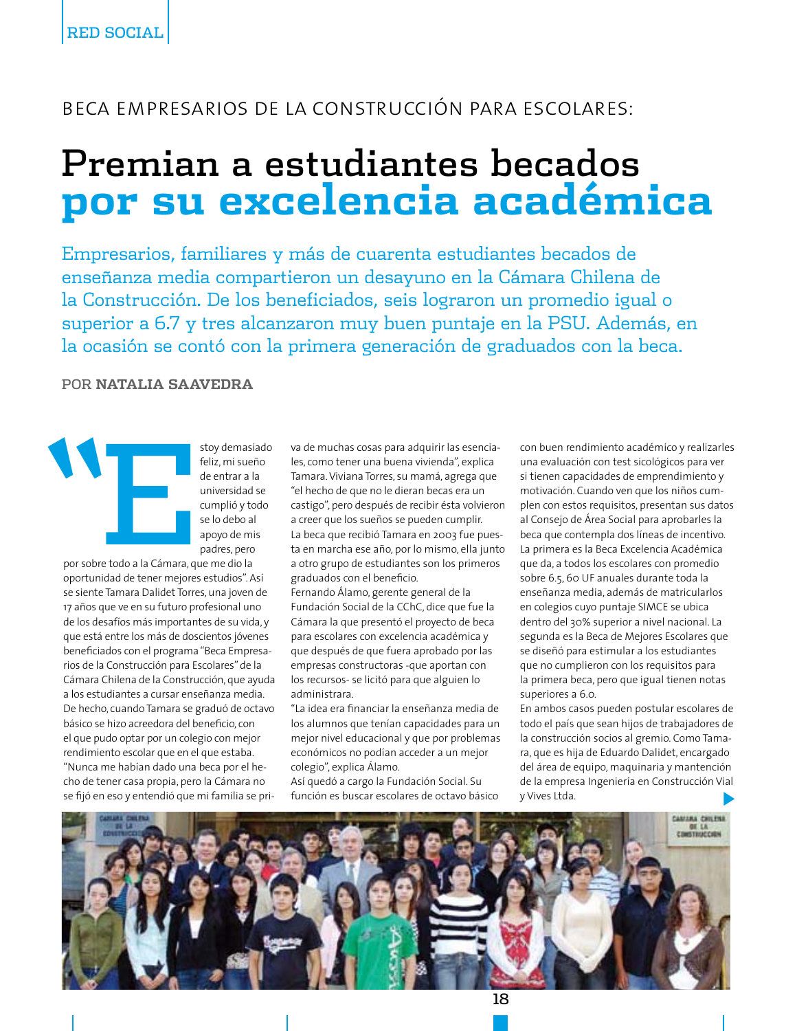## BECA EMPRESARIOS DE LA CONSTRUCCIÓN PARA ESCOLARES:

## Premian a estudiantes becados por su excelencia académica

Empresarios, familiares y más de cuarenta estudiantes becados de enseñanza media compartieron un desayuno en la Cámara Chilena de la Construcción. De los beneficiados, seis lograron un promedio igual o superior a 6.7 y tres alcanzaron muy buen puntaje en la PSU. Además, en la ocasión se contó con la primera generación de graduados con la beca.

## POR NATALIA SAAVEDRA

stoy demasiado feliz. mi sueño de entrar a la universidad se cumplió y todo se lo debo al apoyo de mis padres, pero

por sobre todo a la Cámara, que me dio la oportunidad de tener mejores estudios". Así se siente Tamara Dalidet Torres, una joven de 17 años que ve en su futuro profesional uno de los desafíos más importantes de su vida, y que está entre los más de doscientos jóvenes beneficiados con el programa "Beca Empresarios de la Construcción para Escolares" de la Cámara Chilena de la Construcción, que ayuda a los estudiantes a cursar enseñanza media. De hecho, cuando Tamara se graduó de octavo básico se hizo acreedora del beneficio, con el que pudo optar por un colegio con mejor rendimiento escolar que en el que estaba. "Nunca me habían dado una beca por el hecho de tener casa propia, pero la Cámara no se fijó en eso y entendió que mi familia se priva de muchas cosas para adquirir las esenciales, como tener una buena vivienda", explica Tamara. Viviana Torres, su mamá, agrega que "el hecho de que no le dieran becas era un castigo", pero después de recibir ésta volvieron a creer que los sueños se pueden cumplir. La beca que recibió Tamara en 2003 fue puesta en marcha ese año, por lo mismo, ella junto a otro grupo de estudiantes son los primeros graduados con el beneficio.

Fernando Álamo, gerente general de la Fundación Social de la CChC, dice que fue la Cámara la que presentó el proyecto de beca para escolares con excelencia académica y que después de que fuera aprobado por las empresas constructoras -que aportan con los recursos- se licitó para que alguien lo administrara.

"La idea era financiar la enseñanza media de los alumnos que tenían capacidades para un mejor nivel educacional y que por problemas económicos no podían acceder a un mejor colegio", explica Álamo.

Así quedó a cargo la Fundación Social. Su función es buscar escolares de octavo básico con buen rendimiento académico y realizarles una evaluación con test sicológicos para ver si tienen capacidades de emprendimiento y motivación. Cuando ven que los niños cumplen con estos requisitos, presentan sus datos al Consejo de Área Social para aprobarles la beca que contempla dos líneas de incentivo. La primera es la Beca Excelencia Académica que da, a todos los escolares con promedio sobre 6.5, 60 UF anuales durante toda la enseñanza media, además de matricularlos en colegios cuyo puntaje SIMCE se ubica dentro del 30% superior a nivel nacional. La segunda es la Beca de Mejores Escolares que se diseñó para estimular a los estudiantes que no cumplieron con los requisitos para la primera beca, pero que igual tienen notas superiores a 6.o.

En ambos casos pueden postular escolares de todo el país que sean hijos de trabajadores de la construcción socios al gremio. Como Tamara, que es hija de Eduardo Dalidet, encargado del área de equipo, maquinaria y mantención de la empresa Ingeniería en Construcción Vial y Vives Ltda.



18